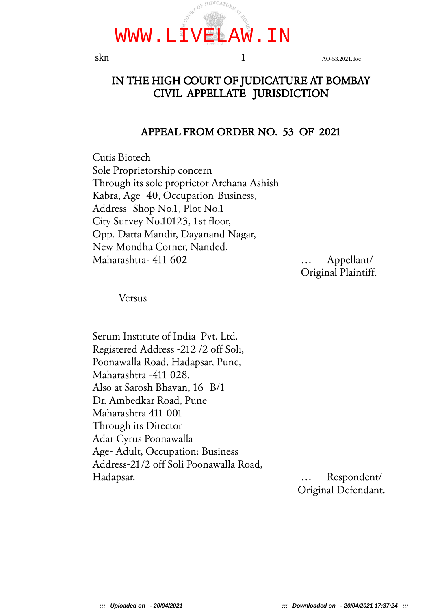

skn 1 AO-53.2021.doc

### IN THE HIGH COURT OF JUDICATURE AT BOMBAY CIVIL APPELLATE JURISDICTION

#### APPEAL FROM ORDER NO. 53 OF 2021

Cutis Biotech Sole Proprietorship concern Through its sole proprietor Archana Ashish Kabra, Age- 40, Occupation-Business, Address- Shop No.1, Plot No.1 City Survey No.10123, 1st floor, Opp. Datta Mandir, Dayanand Nagar, New Mondha Corner, Nanded, Maharashtra- 411 602 … Appellant/

Original Plaintiff.

Versus

Serum Institute of India Pvt. Ltd. Registered Address -212 /2 off Soli, Poonawalla Road, Hadapsar, Pune, Maharashtra -411 028. Also at Sarosh Bhavan, 16- B/1 Dr. Ambedkar Road, Pune Maharashtra 411 001 Through its Director Adar Cyrus Poonawalla Age- Adult, Occupation: Business Address-21/2 off Soli Poonawalla Road, Hadapsar. … Respondent/

Original Defendant.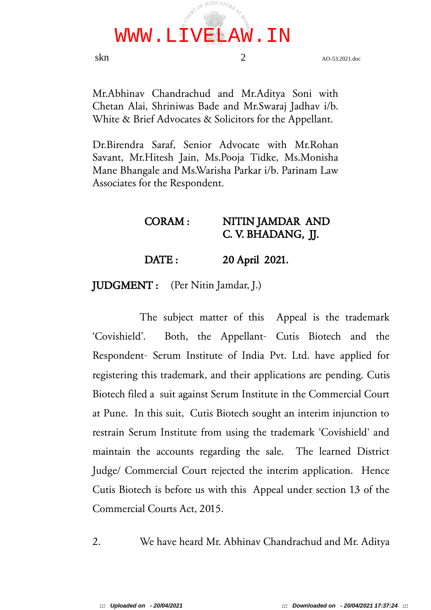

skn 2 AO-53.2021.doc

Mr.Abhinav Chandrachud and Mr.Aditya Soni with Chetan Alai, Shriniwas Bade and Mr.Swaraj Jadhav i/b. White & Brief Advocates & Solicitors for the Appellant.

Dr.Birendra Saraf, Senior Advocate with Mr.Rohan Savant, Mr.Hitesh Jain, Ms.Pooja Tidke, Ms.Monisha Mane Bhangale and Ms.Warisha Parkar i/b. Parinam Law Associates for the Respondent.

#### CORAM : NITIN JAMDAR AND C. V. BHADANG, JJ.

DATE: 20 April 2021.

JUDGMENT : (Per Nitin Jamdar, J.)

The subject matter of this Appeal is the trademark 'Covishield'. Both, the Appellant- Cutis Biotech and the Respondent- Serum Institute of India Pvt. Ltd. have applied for registering this trademark, and their applications are pending. Cutis Biotech filed a suit against Serum Institute in the Commercial Court at Pune. In this suit, Cutis Biotech sought an interim injunction to restrain Serum Institute from using the trademark 'Covishield' and maintain the accounts regarding the sale. The learned District Judge/ Commercial Court rejected the interim application. Hence Cutis Biotech is before us with this Appeal under section 13 of the Commercial Courts Act, 2015.

2. We have heard Mr. Abhinav Chandrachud and Mr. Aditya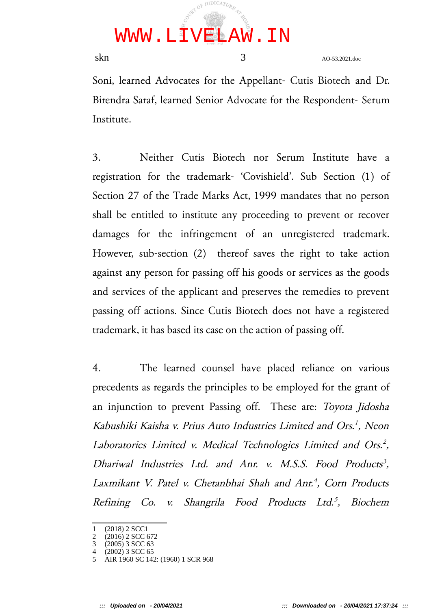

skn 3 AO-53.2021.doc

Soni, learned Advocates for the Appellant- Cutis Biotech and Dr. Birendra Saraf, learned Senior Advocate for the Respondent- Serum Institute.

3. Neither Cutis Biotech nor Serum Institute have a registration for the trademark- 'Covishield'. Sub Section (1) of Section 27 of the Trade Marks Act, 1999 mandates that no person shall be entitled to institute any proceeding to prevent or recover damages for the infringement of an unregistered trademark. However, sub-section (2) thereof saves the right to take action against any person for passing off his goods or services as the goods and services of the applicant and preserves the remedies to prevent passing off actions. Since Cutis Biotech does not have a registered trademark, it has based its case on the action of passing off.

4. The learned counsel have placed reliance on various precedents as regards the principles to be employed for the grant of an injunction to prevent Passing off. These are: Toyota Jidosha Kabushiki Kaisha v. Prius Auto Industries Limited and Ors. 1 , Neon Laboratories Limited v. Medical Technologies Limited and Ors.<sup>2</sup>, Dhariwal Industries Ltd. and Anr. v. M.S.S. Food Products<sup>3</sup>, Laxmikant V. Patel v. Chetanbhai Shah and Anr.<sup>4</sup>, Corn Products Refining Co. v. Shangrila Food Products Ltd. 5 , Biochem

<sup>1</sup> (2018) 2 SCC1

<sup>2 (2016) 2</sup> SCC 672<br>3 (2005) 3 SCC 63

<sup>3</sup> (2005) 3 SCC 63 4 (2002) 3 SCC 65

<sup>5</sup> AIR 1960 SC 142: (1960) 1 SCR 968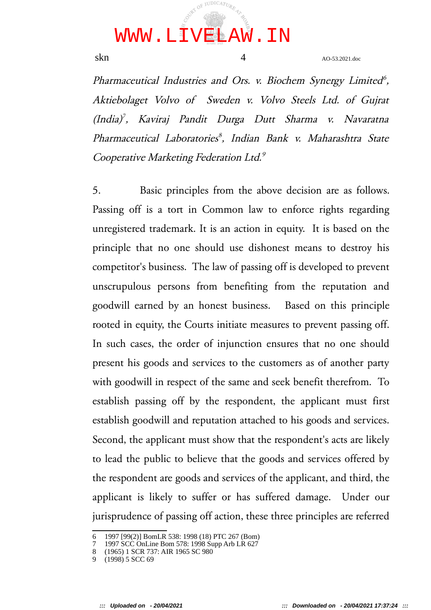

skn a<sub>4</sub> AO-53.2021.doc

Pharmaceutical Industries and Ors. v. Biochem Synergy Limited<sup>6</sup>, Aktiebolaget Volvo of Sweden v. Volvo Steels Ltd. of Gujrat (India) 7 , Kaviraj Pandit Durga Dutt Sharma v. Navaratna Pharmaceutical Laboratories 8 , Indian Bank v. Maharashtra State Cooperative Marketing Federation Ltd.<sup>9</sup>

5. Basic principles from the above decision are as follows. Passing off is a tort in Common law to enforce rights regarding unregistered trademark. It is an action in equity. It is based on the principle that no one should use dishonest means to destroy his competitor's business. The law of passing off is developed to prevent unscrupulous persons from benefiting from the reputation and goodwill earned by an honest business. Based on this principle rooted in equity, the Courts initiate measures to prevent passing off. In such cases, the order of injunction ensures that no one should present his goods and services to the customers as of another party with goodwill in respect of the same and seek benefit therefrom. To establish passing off by the respondent, the applicant must first establish goodwill and reputation attached to his goods and services. Second, the applicant must show that the respondent's acts are likely to lead the public to believe that the goods and services offered by the respondent are goods and services of the applicant, and third, the applicant is likely to suffer or has suffered damage. Under our jurisprudence of passing off action, these three principles are referred

<sup>6</sup> 1997 [99(2)] BomLR 538: 1998 (18) PTC 267 (Bom)

<sup>7</sup> 1997 SCC OnLine Bom 578: 1998 Supp Arb LR 627

<sup>8</sup> (1965) 1 SCR 737: AIR 1965 SC 980

 $(1998)$  5 SCC 69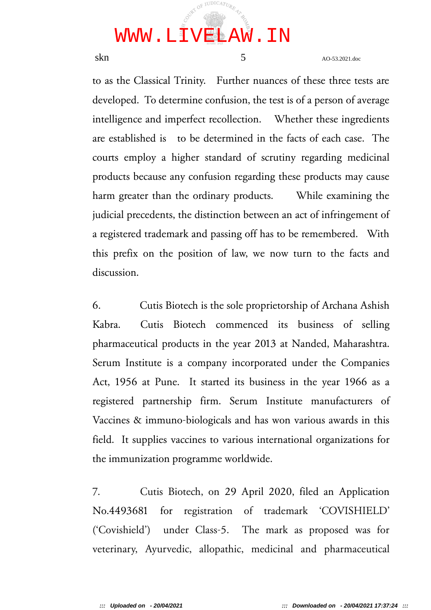

skn a<sub>O-53.2021.doc</sub>

to as the Classical Trinity. Further nuances of these three tests are developed. To determine confusion, the test is of a person of average intelligence and imperfect recollection. Whether these ingredients are established is to be determined in the facts of each case. The courts employ a higher standard of scrutiny regarding medicinal products because any confusion regarding these products may cause harm greater than the ordinary products. While examining the judicial precedents, the distinction between an act of infringement of a registered trademark and passing off has to be remembered. With this prefix on the position of law, we now turn to the facts and discussion.

6. Cutis Biotech is the sole proprietorship of Archana Ashish Kabra. Cutis Biotech commenced its business of selling pharmaceutical products in the year 2013 at Nanded, Maharashtra. Serum Institute is a company incorporated under the Companies Act, 1956 at Pune. It started its business in the year 1966 as a registered partnership firm. Serum Institute manufacturers of Vaccines & immuno-biologicals and has won various awards in this field. It supplies vaccines to various international organizations for the immunization programme worldwide.

7. Cutis Biotech, on 29 April 2020, filed an Application No.4493681 for registration of trademark 'COVISHIELD' ('Covishield') under Class-5. The mark as proposed was for veterinary, Ayurvedic, allopathic, medicinal and pharmaceutical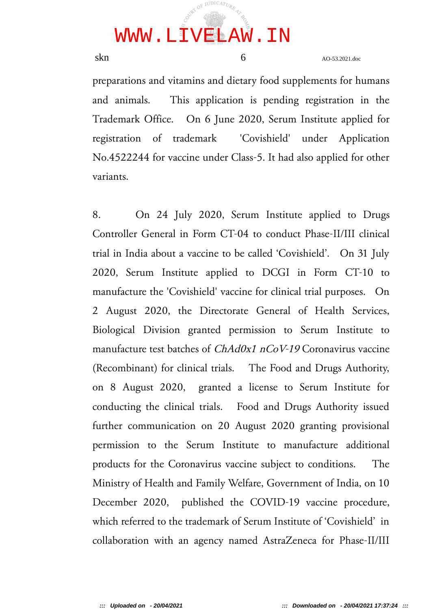

 $\sin \theta$  AO-53.2021.doc

preparations and vitamins and dietary food supplements for humans and animals. This application is pending registration in the Trademark Office. On 6 June 2020, Serum Institute applied for registration of trademark 'Covishield' under Application No.4522244 for vaccine under Class-5. It had also applied for other variants.

8. On 24 July 2020, Serum Institute applied to Drugs Controller General in Form CT-04 to conduct Phase-II/III clinical trial in India about a vaccine to be called 'Covishield'. On 31 July 2020, Serum Institute applied to DCGI in Form CT-10 to manufacture the 'Covishield' vaccine for clinical trial purposes. On 2 August 2020, the Directorate General of Health Services, Biological Division granted permission to Serum Institute to manufacture test batches of *ChAd0x1 nCoV-19* Coronavirus vaccine (Recombinant) for clinical trials. The Food and Drugs Authority, on 8 August 2020, granted a license to Serum Institute for conducting the clinical trials. Food and Drugs Authority issued further communication on 20 August 2020 granting provisional permission to the Serum Institute to manufacture additional products for the Coronavirus vaccine subject to conditions. The Ministry of Health and Family Welfare, Government of India, on 10 December 2020, published the COVID-19 vaccine procedure, which referred to the trademark of Serum Institute of 'Covishield' in collaboration with an agency named AstraZeneca for Phase-II/III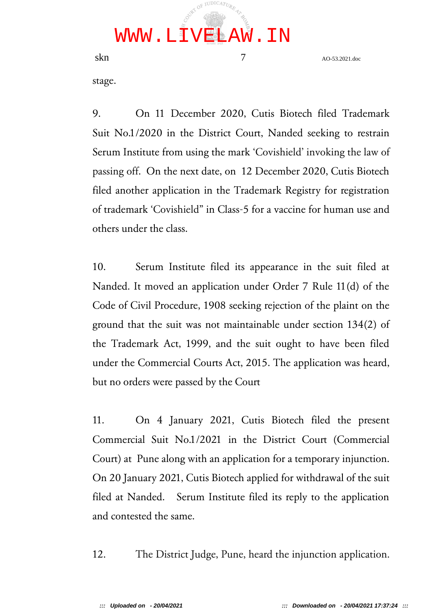

skn a<sub>O-53.2021.doc</sub>

stage.

9. On 11 December 2020, Cutis Biotech filed Trademark Suit No.1/2020 in the District Court, Nanded seeking to restrain Serum Institute from using the mark 'Covishield' invoking the law of passing off. On the next date, on 12 December 2020, Cutis Biotech filed another application in the Trademark Registry for registration of trademark 'Covishield" in Class-5 for a vaccine for human use and others under the class.

10. Serum Institute filed its appearance in the suit filed at Nanded. It moved an application under Order 7 Rule 11(d) of the Code of Civil Procedure, 1908 seeking rejection of the plaint on the ground that the suit was not maintainable under section 134(2) of the Trademark Act, 1999, and the suit ought to have been filed under the Commercial Courts Act, 2015. The application was heard, but no orders were passed by the Court

11. On 4 January 2021, Cutis Biotech filed the present Commercial Suit No.1/2021 in the District Court (Commercial Court) at Pune along with an application for a temporary injunction. On 20 January 2021, Cutis Biotech applied for withdrawal of the suit filed at Nanded. Serum Institute filed its reply to the application and contested the same.

12. The District Judge, Pune, heard the injunction application.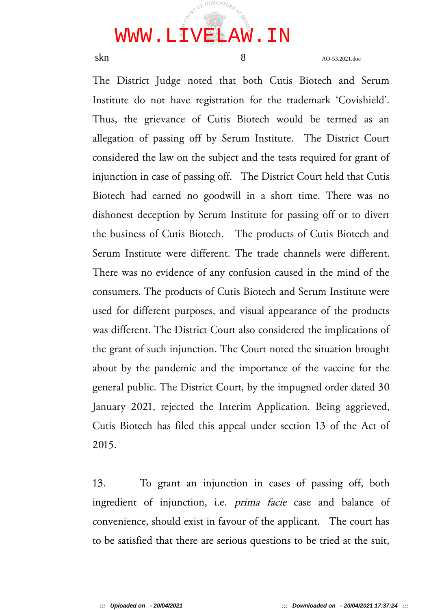# WWW.LIVELAW.IN

JUDICATU

skn and 8 and 8 and 8 and 8 and 8 and 8 and 8 and 8 and 8 and 8 and 8 and 8 and 8 and 8 and 8 and 8 and 8 and 8 and 8 and 8 and 8 and 8 and 8 and 8 and 8 and 8 and 8 and 8 and 8 and 8 and 8 and 8 and 8 and 8 and 8 and 8 an

The District Judge noted that both Cutis Biotech and Serum Institute do not have registration for the trademark 'Covishield'. Thus, the grievance of Cutis Biotech would be termed as an allegation of passing off by Serum Institute. The District Court considered the law on the subject and the tests required for grant of injunction in case of passing off. The District Court held that Cutis Biotech had earned no goodwill in a short time. There was no dishonest deception by Serum Institute for passing off or to divert the business of Cutis Biotech. The products of Cutis Biotech and Serum Institute were different. The trade channels were different. There was no evidence of any confusion caused in the mind of the consumers. The products of Cutis Biotech and Serum Institute were used for different purposes, and visual appearance of the products was different. The District Court also considered the implications of the grant of such injunction. The Court noted the situation brought about by the pandemic and the importance of the vaccine for the general public. The District Court, by the impugned order dated 30 January 2021, rejected the Interim Application. Being aggrieved, Cutis Biotech has filed this appeal under section 13 of the Act of 2015.

13. To grant an injunction in cases of passing off, both ingredient of injunction, i.e. prima facie case and balance of convenience, should exist in favour of the applicant. The court has to be satisfied that there are serious questions to be tried at the suit,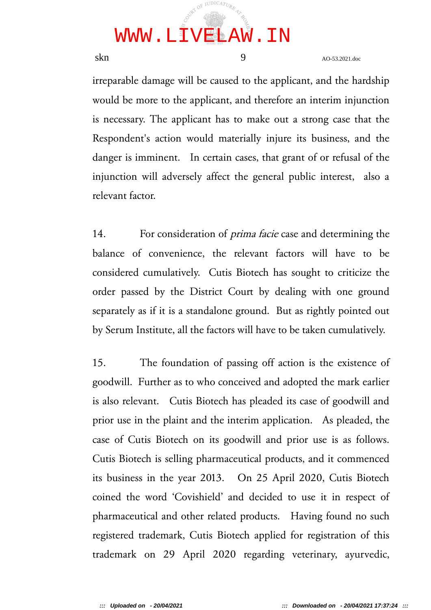

skn 9 AO-53.2021.doc

irreparable damage will be caused to the applicant, and the hardship would be more to the applicant, and therefore an interim injunction is necessary. The applicant has to make out a strong case that the Respondent's action would materially injure its business, and the danger is imminent. In certain cases, that grant of or refusal of the injunction will adversely affect the general public interest, also a relevant factor.

14. For consideration of *prima facie* case and determining the balance of convenience, the relevant factors will have to be considered cumulatively. Cutis Biotech has sought to criticize the order passed by the District Court by dealing with one ground separately as if it is a standalone ground. But as rightly pointed out by Serum Institute, all the factors will have to be taken cumulatively.

15. The foundation of passing off action is the existence of goodwill. Further as to who conceived and adopted the mark earlier is also relevant. Cutis Biotech has pleaded its case of goodwill and prior use in the plaint and the interim application. As pleaded, the case of Cutis Biotech on its goodwill and prior use is as follows. Cutis Biotech is selling pharmaceutical products, and it commenced its business in the year 2013. On 25 April 2020, Cutis Biotech coined the word 'Covishield' and decided to use it in respect of pharmaceutical and other related products. Having found no such registered trademark, Cutis Biotech applied for registration of this trademark on 29 April 2020 regarding veterinary, ayurvedic,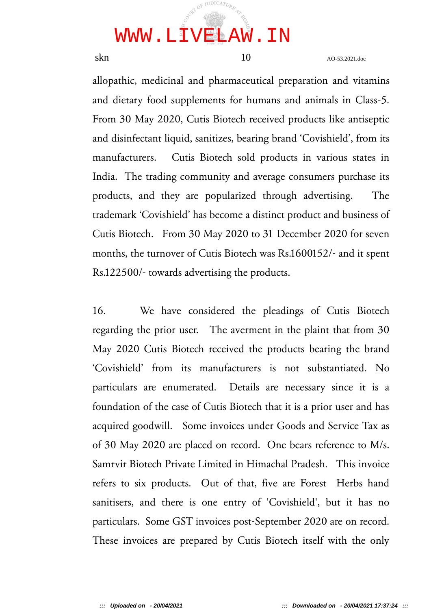

skn 10 AO-53.2021.doc

allopathic, medicinal and pharmaceutical preparation and vitamins and dietary food supplements for humans and animals in Class-5. From 30 May 2020, Cutis Biotech received products like antiseptic and disinfectant liquid, sanitizes, bearing brand 'Covishield', from its manufacturers. Cutis Biotech sold products in various states in India. The trading community and average consumers purchase its products, and they are popularized through advertising. The trademark 'Covishield' has become a distinct product and business of Cutis Biotech. From 30 May 2020 to 31 December 2020 for seven months, the turnover of Cutis Biotech was Rs.1600152/- and it spent Rs.122500/- towards advertising the products.

16. We have considered the pleadings of Cutis Biotech regarding the prior user. The averment in the plaint that from 30 May 2020 Cutis Biotech received the products bearing the brand 'Covishield' from its manufacturers is not substantiated. No particulars are enumerated. Details are necessary since it is a foundation of the case of Cutis Biotech that it is a prior user and has acquired goodwill. Some invoices under Goods and Service Tax as of 30 May 2020 are placed on record. One bears reference to M/s. Samrvir Biotech Private Limited in Himachal Pradesh. This invoice refers to six products. Out of that, five are Forest Herbs hand sanitisers, and there is one entry of 'Covishield', but it has no particulars. Some GST invoices post-September 2020 are on record. These invoices are prepared by Cutis Biotech itself with the only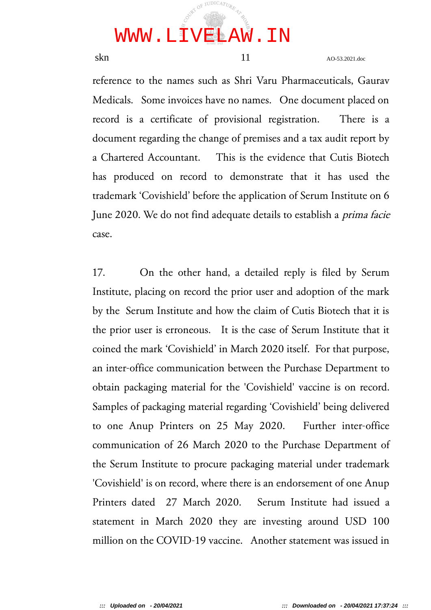

skn 11 AO-53.2021.doc

reference to the names such as Shri Varu Pharmaceuticals, Gaurav Medicals. Some invoices have no names. One document placed on record is a certificate of provisional registration. There is a document regarding the change of premises and a tax audit report by a Chartered Accountant. This is the evidence that Cutis Biotech has produced on record to demonstrate that it has used the trademark 'Covishield' before the application of Serum Institute on 6 June 2020. We do not find adequate details to establish a prima facie case.

17. On the other hand, a detailed reply is filed by Serum Institute, placing on record the prior user and adoption of the mark by the Serum Institute and how the claim of Cutis Biotech that it is the prior user is erroneous. It is the case of Serum Institute that it coined the mark 'Covishield' in March 2020 itself. For that purpose, an inter-office communication between the Purchase Department to obtain packaging material for the 'Covishield' vaccine is on record. Samples of packaging material regarding 'Covishield' being delivered to one Anup Printers on 25 May 2020. Further inter-office communication of 26 March 2020 to the Purchase Department of the Serum Institute to procure packaging material under trademark 'Covishield' is on record, where there is an endorsement of one Anup Printers dated 27 March 2020. Serum Institute had issued a statement in March 2020 they are investing around USD 100 million on the COVID-19 vaccine. Another statement was issued in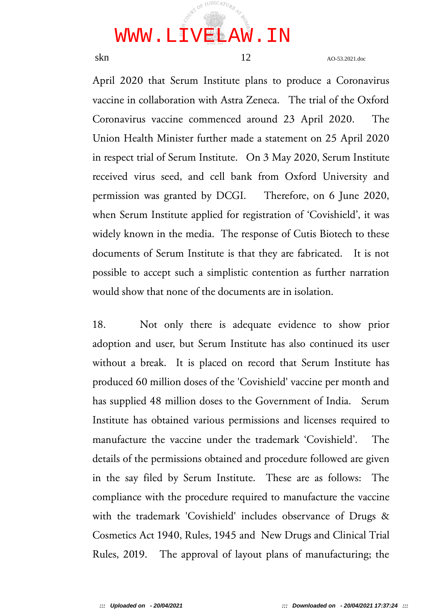

skn 12 AO-53.2021.doc

April 2020 that Serum Institute plans to produce a Coronavirus vaccine in collaboration with Astra Zeneca. The trial of the Oxford Coronavirus vaccine commenced around 23 April 2020. The Union Health Minister further made a statement on 25 April 2020 in respect trial of Serum Institute. On 3 May 2020, Serum Institute received virus seed, and cell bank from Oxford University and permission was granted by DCGI. Therefore, on 6 June 2020, when Serum Institute applied for registration of 'Covishield', it was widely known in the media. The response of Cutis Biotech to these documents of Serum Institute is that they are fabricated. It is not possible to accept such a simplistic contention as further narration would show that none of the documents are in isolation.

18. Not only there is adequate evidence to show prior adoption and user, but Serum Institute has also continued its user without a break. It is placed on record that Serum Institute has produced 60 million doses of the 'Covishield' vaccine per month and has supplied 48 million doses to the Government of India. Serum Institute has obtained various permissions and licenses required to manufacture the vaccine under the trademark 'Covishield'. The details of the permissions obtained and procedure followed are given in the say filed by Serum Institute. These are as follows: The compliance with the procedure required to manufacture the vaccine with the trademark 'Covishield' includes observance of Drugs & Cosmetics Act 1940, Rules, 1945 and New Drugs and Clinical Trial Rules, 2019. The approval of layout plans of manufacturing; the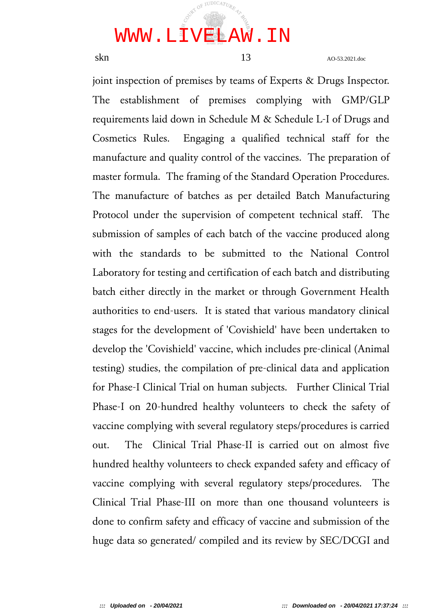

skn 13 AO-53.2021.doc

joint inspection of premises by teams of Experts & Drugs Inspector. The establishment of premises complying with GMP/GLP requirements laid down in Schedule M & Schedule L-I of Drugs and Cosmetics Rules. Engaging a qualified technical staff for the manufacture and quality control of the vaccines. The preparation of master formula. The framing of the Standard Operation Procedures. The manufacture of batches as per detailed Batch Manufacturing Protocol under the supervision of competent technical staff. The submission of samples of each batch of the vaccine produced along with the standards to be submitted to the National Control Laboratory for testing and certification of each batch and distributing batch either directly in the market or through Government Health authorities to end-users. It is stated that various mandatory clinical stages for the development of 'Covishield' have been undertaken to develop the 'Covishield' vaccine, which includes pre-clinical (Animal testing) studies, the compilation of pre-clinical data and application for Phase-I Clinical Trial on human subjects. Further Clinical Trial Phase-I on 20-hundred healthy volunteers to check the safety of vaccine complying with several regulatory steps/procedures is carried out. The Clinical Trial Phase-II is carried out on almost five hundred healthy volunteers to check expanded safety and efficacy of vaccine complying with several regulatory steps/procedures. The Clinical Trial Phase-III on more than one thousand volunteers is done to confirm safety and efficacy of vaccine and submission of the huge data so generated/ compiled and its review by SEC/DCGI and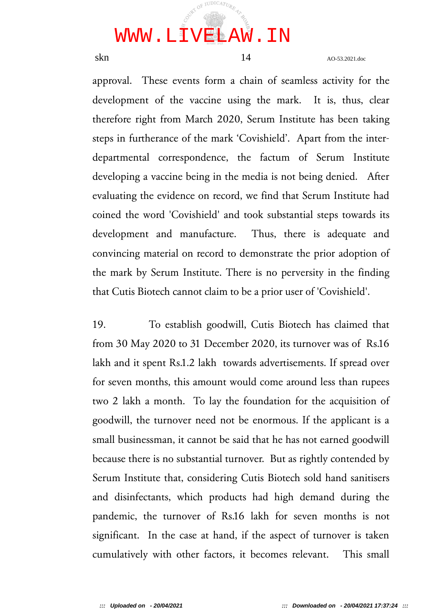

skn 14 AO-53.2021.doc

approval. These events form a chain of seamless activity for the development of the vaccine using the mark. It is, thus, clear therefore right from March 2020, Serum Institute has been taking steps in furtherance of the mark 'Covishield'. Apart from the interdepartmental correspondence, the factum of Serum Institute developing a vaccine being in the media is not being denied. After evaluating the evidence on record, we find that Serum Institute had coined the word 'Covishield' and took substantial steps towards its development and manufacture. Thus, there is adequate and convincing material on record to demonstrate the prior adoption of the mark by Serum Institute. There is no perversity in the finding that Cutis Biotech cannot claim to be a prior user of 'Covishield'.

19. To establish goodwill, Cutis Biotech has claimed that from 30 May 2020 to 31 December 2020, its turnover was of Rs.16 lakh and it spent Rs.1.2 lakh towards advertisements. If spread over for seven months, this amount would come around less than rupees two 2 lakh a month. To lay the foundation for the acquisition of goodwill, the turnover need not be enormous. If the applicant is a small businessman, it cannot be said that he has not earned goodwill because there is no substantial turnover. But as rightly contended by Serum Institute that, considering Cutis Biotech sold hand sanitisers and disinfectants, which products had high demand during the pandemic, the turnover of Rs.16 lakh for seven months is not significant. In the case at hand, if the aspect of turnover is taken cumulatively with other factors, it becomes relevant. This small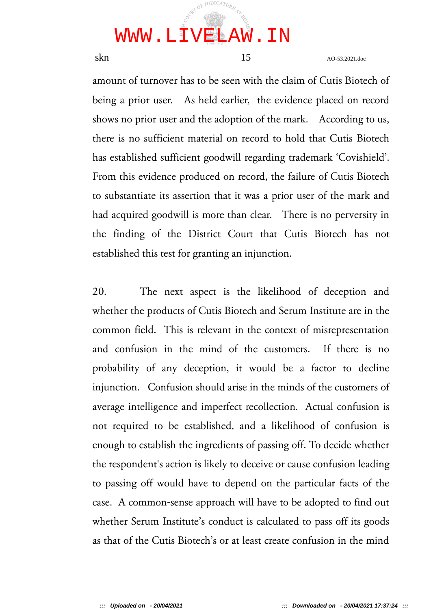

skn 15 AO-53.2021.doc

amount of turnover has to be seen with the claim of Cutis Biotech of being a prior user. As held earlier, the evidence placed on record shows no prior user and the adoption of the mark. According to us, there is no sufficient material on record to hold that Cutis Biotech has established sufficient goodwill regarding trademark 'Covishield'. From this evidence produced on record, the failure of Cutis Biotech to substantiate its assertion that it was a prior user of the mark and had acquired goodwill is more than clear. There is no perversity in the finding of the District Court that Cutis Biotech has not established this test for granting an injunction.

20. The next aspect is the likelihood of deception and whether the products of Cutis Biotech and Serum Institute are in the common field. This is relevant in the context of misrepresentation and confusion in the mind of the customers. If there is no probability of any deception, it would be a factor to decline injunction. Confusion should arise in the minds of the customers of average intelligence and imperfect recollection. Actual confusion is not required to be established, and a likelihood of confusion is enough to establish the ingredients of passing off. To decide whether the respondent's action is likely to deceive or cause confusion leading to passing off would have to depend on the particular facts of the case. A common-sense approach will have to be adopted to find out whether Serum Institute's conduct is calculated to pass off its goods as that of the Cutis Biotech's or at least create confusion in the mind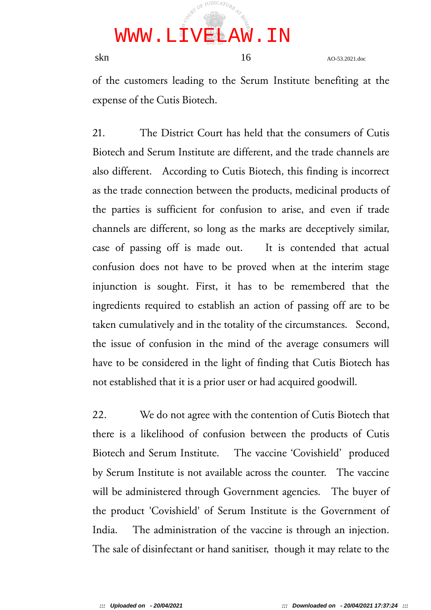

skn 16 AO-53.2021.doc

of the customers leading to the Serum Institute benefiting at the expense of the Cutis Biotech.

21. The District Court has held that the consumers of Cutis Biotech and Serum Institute are different, and the trade channels are also different. According to Cutis Biotech, this finding is incorrect as the trade connection between the products, medicinal products of the parties is sufficient for confusion to arise, and even if trade channels are different, so long as the marks are deceptively similar, case of passing off is made out. It is contended that actual confusion does not have to be proved when at the interim stage injunction is sought. First, it has to be remembered that the ingredients required to establish an action of passing off are to be taken cumulatively and in the totality of the circumstances. Second, the issue of confusion in the mind of the average consumers will have to be considered in the light of finding that Cutis Biotech has not established that it is a prior user or had acquired goodwill.

22. We do not agree with the contention of Cutis Biotech that there is a likelihood of confusion between the products of Cutis Biotech and Serum Institute. The vaccine 'Covishield' produced by Serum Institute is not available across the counter. The vaccine will be administered through Government agencies. The buyer of the product 'Covishield' of Serum Institute is the Government of India. The administration of the vaccine is through an injection. The sale of disinfectant or hand sanitiser, though it may relate to the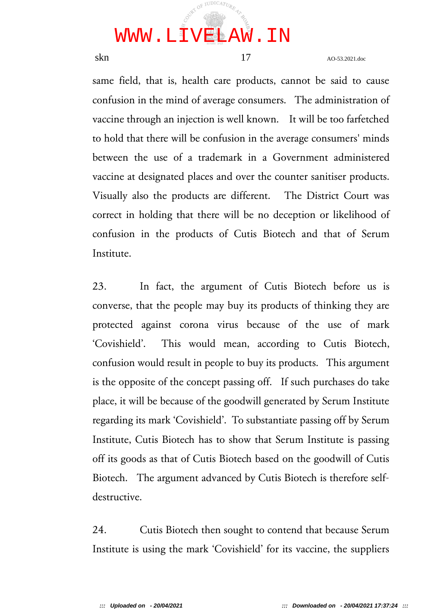

skn 17 AO-53.2021.doc

same field, that is, health care products, cannot be said to cause confusion in the mind of average consumers. The administration of vaccine through an injection is well known. It will be too farfetched to hold that there will be confusion in the average consumers' minds between the use of a trademark in a Government administered vaccine at designated places and over the counter sanitiser products. Visually also the products are different. The District Court was correct in holding that there will be no deception or likelihood of confusion in the products of Cutis Biotech and that of Serum Institute.

23. In fact, the argument of Cutis Biotech before us is converse, that the people may buy its products of thinking they are protected against corona virus because of the use of mark 'Covishield'. This would mean, according to Cutis Biotech, confusion would result in people to buy its products. This argument is the opposite of the concept passing off. If such purchases do take place, it will be because of the goodwill generated by Serum Institute regarding its mark 'Covishield'. To substantiate passing off by Serum Institute, Cutis Biotech has to show that Serum Institute is passing off its goods as that of Cutis Biotech based on the goodwill of Cutis Biotech. The argument advanced by Cutis Biotech is therefore selfdestructive.

24. Cutis Biotech then sought to contend that because Serum Institute is using the mark 'Covishield' for its vaccine, the suppliers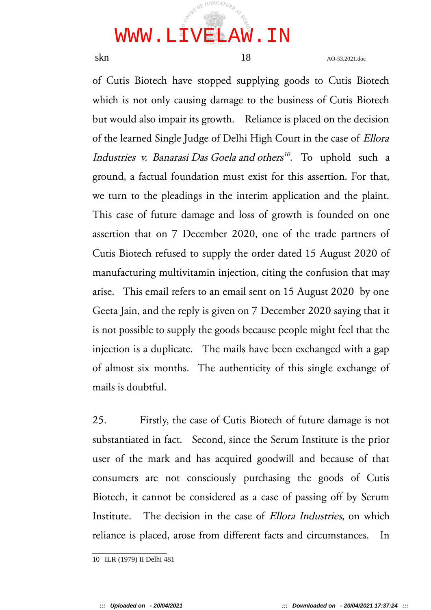## JUDICAT<sub>UR</sub> WWW.LIVELAW.IN

skn 18 AO-53.2021.doc

of Cutis Biotech have stopped supplying goods to Cutis Biotech which is not only causing damage to the business of Cutis Biotech but would also impair its growth. Reliance is placed on the decision of the learned Single Judge of Delhi High Court in the case of Ellora Industries v. Banarasi Das Goela and others<sup>10</sup>. To uphold such a ground, a factual foundation must exist for this assertion. For that, we turn to the pleadings in the interim application and the plaint. This case of future damage and loss of growth is founded on one assertion that on 7 December 2020, one of the trade partners of Cutis Biotech refused to supply the order dated 15 August 2020 of manufacturing multivitamin injection, citing the confusion that may arise. This email refers to an email sent on 15 August 2020 by one Geeta Jain, and the reply is given on 7 December 2020 saying that it is not possible to supply the goods because people might feel that the injection is a duplicate. The mails have been exchanged with a gap of almost six months. The authenticity of this single exchange of mails is doubtful.

25. Firstly, the case of Cutis Biotech of future damage is not substantiated in fact. Second, since the Serum Institute is the prior user of the mark and has acquired goodwill and because of that consumers are not consciously purchasing the goods of Cutis Biotech, it cannot be considered as a case of passing off by Serum Institute. The decision in the case of *Ellora Industries*, on which reliance is placed, arose from different facts and circumstances. In

<sup>10</sup> ILR (1979) II Delhi 481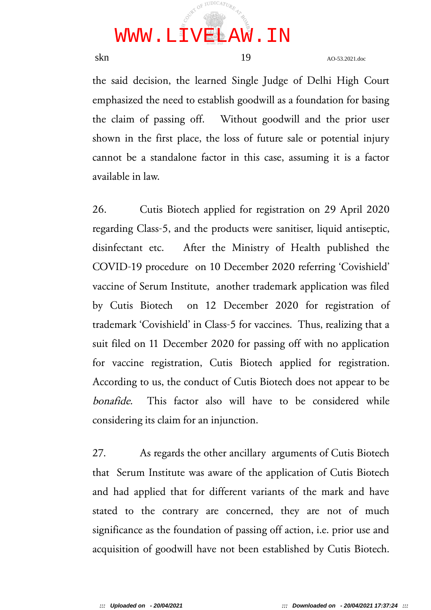

skn 19 AO-53.2021.doc

the said decision, the learned Single Judge of Delhi High Court emphasized the need to establish goodwill as a foundation for basing the claim of passing off. Without goodwill and the prior user shown in the first place, the loss of future sale or potential injury cannot be a standalone factor in this case, assuming it is a factor available in law.

26. Cutis Biotech applied for registration on 29 April 2020 regarding Class-5, and the products were sanitiser, liquid antiseptic, disinfectant etc. After the Ministry of Health published the COVID-19 procedure on 10 December 2020 referring 'Covishield' vaccine of Serum Institute, another trademark application was filed by Cutis Biotech on 12 December 2020 for registration of trademark 'Covishield' in Class-5 for vaccines. Thus, realizing that a suit filed on 11 December 2020 for passing off with no application for vaccine registration, Cutis Biotech applied for registration. According to us, the conduct of Cutis Biotech does not appear to be bonafide. This factor also will have to be considered while considering its claim for an injunction.

27. As regards the other ancillary arguments of Cutis Biotech that Serum Institute was aware of the application of Cutis Biotech and had applied that for different variants of the mark and have stated to the contrary are concerned, they are not of much significance as the foundation of passing off action, i.e. prior use and acquisition of goodwill have not been established by Cutis Biotech.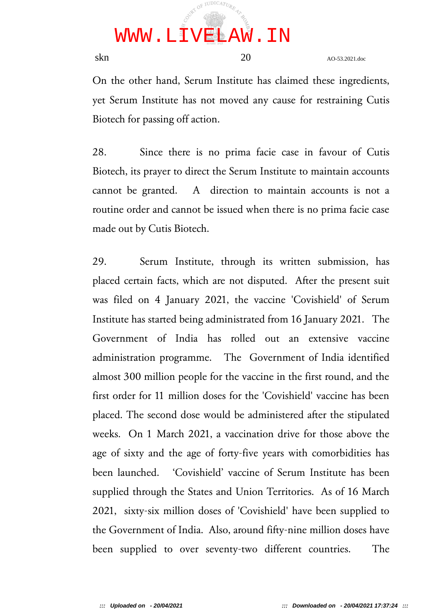

skn 20 AO-53.2021.doc

On the other hand, Serum Institute has claimed these ingredients, yet Serum Institute has not moved any cause for restraining Cutis Biotech for passing off action.

28. Since there is no prima facie case in favour of Cutis Biotech, its prayer to direct the Serum Institute to maintain accounts cannot be granted. A direction to maintain accounts is not a routine order and cannot be issued when there is no prima facie case made out by Cutis Biotech.

29. Serum Institute, through its written submission, has placed certain facts, which are not disputed. After the present suit was filed on 4 January 2021, the vaccine 'Covishield' of Serum Institute has started being administrated from 16 January 2021. The Government of India has rolled out an extensive vaccine administration programme. The Government of India identified almost 300 million people for the vaccine in the first round, and the first order for 11 million doses for the 'Covishield' vaccine has been placed. The second dose would be administered after the stipulated weeks. On 1 March 2021, a vaccination drive for those above the age of sixty and the age of forty-five years with comorbidities has been launched. 'Covishield' vaccine of Serum Institute has been supplied through the States and Union Territories. As of 16 March 2021, sixty-six million doses of 'Covishield' have been supplied to the Government of India. Also, around fifty-nine million doses have been supplied to over seventy-two different countries. The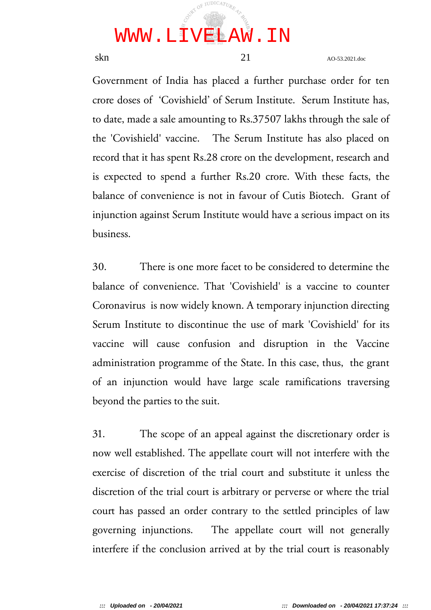

skn and 21 AO-53.2021.doc

Government of India has placed a further purchase order for ten crore doses of 'Covishield' of Serum Institute. Serum Institute has, to date, made a sale amounting to Rs.37507 lakhs through the sale of the 'Covishield' vaccine. The Serum Institute has also placed on record that it has spent Rs.28 crore on the development, research and is expected to spend a further Rs.20 crore. With these facts, the balance of convenience is not in favour of Cutis Biotech. Grant of injunction against Serum Institute would have a serious impact on its business.

30. There is one more facet to be considered to determine the balance of convenience. That 'Covishield' is a vaccine to counter Coronavirus is now widely known. A temporary injunction directing Serum Institute to discontinue the use of mark 'Covishield' for its vaccine will cause confusion and disruption in the Vaccine administration programme of the State. In this case, thus, the grant of an injunction would have large scale ramifications traversing beyond the parties to the suit.

31. The scope of an appeal against the discretionary order is now well established. The appellate court will not interfere with the exercise of discretion of the trial court and substitute it unless the discretion of the trial court is arbitrary or perverse or where the trial court has passed an order contrary to the settled principles of law governing injunctions. The appellate court will not generally interfere if the conclusion arrived at by the trial court is reasonably